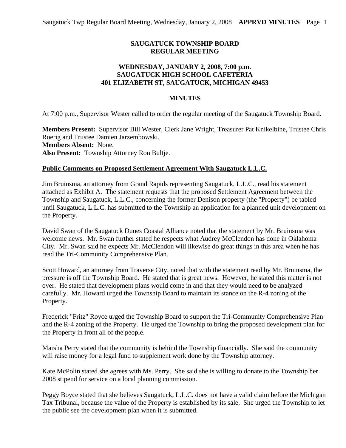## **SAUGATUCK TOWNSHIP BOARD REGULAR MEETING**

## **WEDNESDAY, JANUARY 2, 2008, 7:00 p.m. SAUGATUCK HIGH SCHOOL CAFETERIA 401 ELIZABETH ST, SAUGATUCK, MICHIGAN 49453**

#### **MINUTES**

At 7:00 p.m., Supervisor Wester called to order the regular meeting of the Saugatuck Township Board.

**Members Present:** Supervisor Bill Wester, Clerk Jane Wright, Treasurer Pat Knikelbine, Trustee Chris Roerig and Trustee Damien Jarzembowski. **Members Absent:** None. **Also Present:** Township Attorney Ron Bultje.

#### **Public Comments on Proposed Settlement Agreement With Saugatuck L.L.C.**

Jim Bruinsma, an attorney from Grand Rapids representing Saugatuck, L.L.C., read his statement attached as Exhibit A. The statement requests that the proposed Settlement Agreement between the Township and Saugatuck, L.L.C., concerning the former Denison property (the "Property") be tabled until Saugatuck, L.L.C. has submitted to the Township an application for a planned unit development on the Property.

David Swan of the Saugatuck Dunes Coastal Alliance noted that the statement by Mr. Bruinsma was welcome news. Mr. Swan further stated he respects what Audrey McClendon has done in Oklahoma City. Mr. Swan said he expects Mr. McClendon will likewise do great things in this area when he has read the Tri-Community Comprehensive Plan.

Scott Howard, an attorney from Traverse City, noted that with the statement read by Mr. Bruinsma, the pressure is off the Township Board. He stated that is great news. However, he stated this matter is not over. He stated that development plans would come in and that they would need to be analyzed carefully. Mr. Howard urged the Township Board to maintain its stance on the R-4 zoning of the Property.

Frederick "Fritz" Royce urged the Township Board to support the Tri-Community Comprehensive Plan and the R-4 zoning of the Property. He urged the Township to bring the proposed development plan for the Property in front all of the people.

Marsha Perry stated that the community is behind the Township financially. She said the community will raise money for a legal fund to supplement work done by the Township attorney.

Kate McPolin stated she agrees with Ms. Perry. She said she is willing to donate to the Township her 2008 stipend for service on a local planning commission.

Peggy Boyce stated that she believes Saugatuck, L.L.C. does not have a valid claim before the Michigan Tax Tribunal, because the value of the Property is established by its sale. She urged the Township to let the public see the development plan when it is submitted.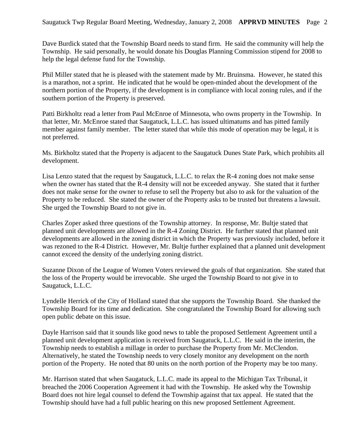Dave Burdick stated that the Township Board needs to stand firm. He said the community will help the Township. He said personally, he would donate his Douglas Planning Commission stipend for 2008 to help the legal defense fund for the Township.

Phil Miller stated that he is pleased with the statement made by Mr. Bruinsma. However, he stated this is a marathon, not a sprint. He indicated that he would be open-minded about the development of the northern portion of the Property, if the development is in compliance with local zoning rules, and if the southern portion of the Property is preserved.

Patti Birkholtz read a letter from Paul McEnroe of Minnesota, who owns property in the Township. In that letter, Mr. McEnroe stated that Saugatuck, L.L.C. has issued ultimatums and has pitted family member against family member. The letter stated that while this mode of operation may be legal, it is not preferred.

Ms. Birkholtz stated that the Property is adjacent to the Saugatuck Dunes State Park, which prohibits all development.

Lisa Lenzo stated that the request by Saugatuck, L.L.C. to relax the R-4 zoning does not make sense when the owner has stated that the R-4 density will not be exceeded anyway. She stated that it further does not make sense for the owner to refuse to sell the Property but also to ask for the valuation of the Property to be reduced. She stated the owner of the Property asks to be trusted but threatens a lawsuit. She urged the Township Board to not give in.

Charles Zoper asked three questions of the Township attorney. In response, Mr. Bultje stated that planned unit developments are allowed in the R-4 Zoning District. He further stated that planned unit developments are allowed in the zoning district in which the Property was previously included, before it was rezoned to the R-4 District. However, Mr. Bultje further explained that a planned unit development cannot exceed the density of the underlying zoning district.

Suzanne Dixon of the League of Women Voters reviewed the goals of that organization. She stated that the loss of the Property would be irrevocable. She urged the Township Board to not give in to Saugatuck, L.L.C.

Lyndelle Herrick of the City of Holland stated that she supports the Township Board. She thanked the Township Board for its time and dedication. She congratulated the Township Board for allowing such open public debate on this issue.

Dayle Harrison said that it sounds like good news to table the proposed Settlement Agreement until a planned unit development application is received from Saugatuck, L.L.C. He said in the interim, the Township needs to establish a millage in order to purchase the Property from Mr. McClendon. Alternatively, he stated the Township needs to very closely monitor any development on the north portion of the Property. He noted that 80 units on the north portion of the Property may be too many.

Mr. Harrison stated that when Saugatuck, L.L.C. made its appeal to the Michigan Tax Tribunal, it breached the 2006 Cooperation Agreement it had with the Township. He asked why the Township Board does not hire legal counsel to defend the Township against that tax appeal. He stated that the Township should have had a full public hearing on this new proposed Settlement Agreement.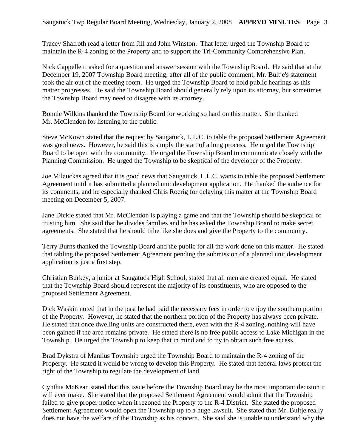Tracey Shafroth read a letter from Jill and John Winston. That letter urged the Township Board to maintain the R-4 zoning of the Property and to support the Tri-Community Comprehensive Plan.

Nick Cappelletti asked for a question and answer session with the Township Board. He said that at the December 19, 2007 Township Board meeting, after all of the public comment, Mr. Bultje's statement took the air out of the meeting room. He urged the Township Board to hold public hearings as this matter progresses. He said the Township Board should generally rely upon its attorney, but sometimes the Township Board may need to disagree with its attorney.

Bonnie Wilkins thanked the Township Board for working so hard on this matter. She thanked Mr. McClendon for listening to the public.

Steve McKown stated that the request by Saugatuck, L.L.C. to table the proposed Settlement Agreement was good news. However, he said this is simply the start of a long process. He urged the Township Board to be open with the community. He urged the Township Board to communicate closely with the Planning Commission. He urged the Township to be skeptical of the developer of the Property.

Joe Milauckas agreed that it is good news that Saugatuck, L.L.C. wants to table the proposed Settlement Agreement until it has submitted a planned unit development application. He thanked the audience for its comments, and he especially thanked Chris Roerig for delaying this matter at the Township Board meeting on December 5, 2007.

Jane Dickie stated that Mr. McClendon is playing a game and that the Township should be skeptical of trusting him. She said that he divides families and he has asked the Township Board to make secret agreements. She stated that he should tithe like she does and give the Property to the community.

Terry Burns thanked the Township Board and the public for all the work done on this matter. He stated that tabling the proposed Settlement Agreement pending the submission of a planned unit development application is just a first step.

Christian Burkey, a junior at Saugatuck High School, stated that all men are created equal. He stated that the Township Board should represent the majority of its constituents, who are opposed to the proposed Settlement Agreement.

Dick Waskin noted that in the past he had paid the necessary fees in order to enjoy the southern portion of the Property. However, he stated that the northern portion of the Property has always been private. He stated that once dwelling units are constructed there, even with the R-4 zoning, nothing will have been gained if the area remains private. He stated there is no free public access to Lake Michigan in the Township. He urged the Township to keep that in mind and to try to obtain such free access.

Brad Dykstra of Manlius Township urged the Township Board to maintain the R-4 zoning of the Property. He stated it would be wrong to develop this Property. He stated that federal laws protect the right of the Township to regulate the development of land.

Cynthia McKean stated that this issue before the Township Board may be the most important decision it will ever make. She stated that the proposed Settlement Agreement would admit that the Township failed to give proper notice when it rezoned the Property to the R-4 District. She stated the proposed Settlement Agreement would open the Township up to a huge lawsuit. She stated that Mr. Bultje really does not have the welfare of the Township as his concern. She said she is unable to understand why the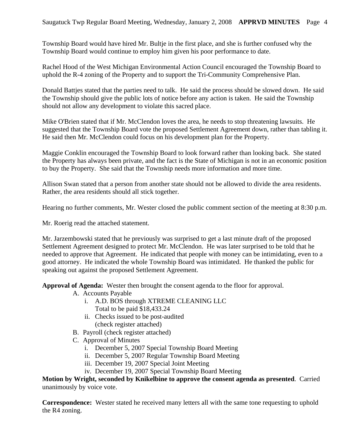Township Board would have hired Mr. Bultje in the first place, and she is further confused why the Township Board would continue to employ him given his poor performance to date.

Rachel Hood of the West Michigan Environmental Action Council encouraged the Township Board to uphold the R-4 zoning of the Property and to support the Tri-Community Comprehensive Plan.

Donald Battjes stated that the parties need to talk. He said the process should be slowed down. He said the Township should give the public lots of notice before any action is taken. He said the Township should not allow any development to violate this sacred place.

Mike O'Brien stated that if Mr. McClendon loves the area, he needs to stop threatening lawsuits. He suggested that the Township Board vote the proposed Settlement Agreement down, rather than tabling it. He said then Mr. McClendon could focus on his development plan for the Property.

Maggie Conklin encouraged the Township Board to look forward rather than looking back. She stated the Property has always been private, and the fact is the State of Michigan is not in an economic position to buy the Property. She said that the Township needs more information and more time.

Allison Swan stated that a person from another state should not be allowed to divide the area residents. Rather, the area residents should all stick together.

Hearing no further comments, Mr. Wester closed the public comment section of the meeting at 8:30 p.m.

Mr. Roerig read the attached statement.

Mr. Jarzembowski stated that he previously was surprised to get a last minute draft of the proposed Settlement Agreement designed to protect Mr. McClendon. He was later surprised to be told that he needed to approve that Agreement. He indicated that people with money can be intimidating, even to a good attorney. He indicated the whole Township Board was intimidated. He thanked the public for speaking out against the proposed Settlement Agreement.

**Approval of Agenda:** Wester then brought the consent agenda to the floor for approval.

- A. Accounts Payable
	- i. A.D. BOS through XTREME CLEANING LLC Total to be paid \$18,433.24
	- ii. Checks issued to be post-audited (check register attached)
- B. Payroll (check register attached)
- C. Approval of Minutes
	- i. December 5, 2007 Special Township Board Meeting
	- ii. December 5, 2007 Regular Township Board Meeting
	- iii. December 19, 2007 Special Joint Meeting
	- iv. December 19, 2007 Special Township Board Meeting

**Motion by Wright, seconded by Knikelbine to approve the consent agenda as presented**. Carried unanimously by voice vote.

**Correspondence:** Wester stated he received many letters all with the same tone requesting to uphold the R4 zoning.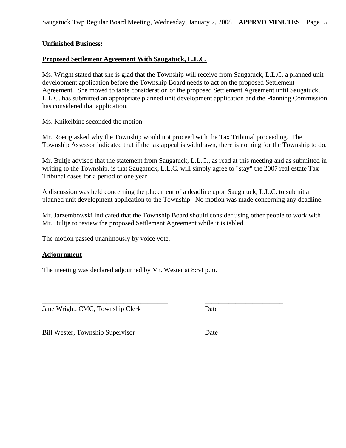## **Unfinished Business:**

## **Proposed Settlement Agreement With Saugatuck, L.L.C.**

Ms. Wright stated that she is glad that the Township will receive from Saugatuck, L.L.C. a planned unit development application before the Township Board needs to act on the proposed Settlement Agreement. She moved to table consideration of the proposed Settlement Agreement until Saugatuck, L.L.C. has submitted an appropriate planned unit development application and the Planning Commission has considered that application.

Ms. Knikelbine seconded the motion.

Mr. Roerig asked why the Township would not proceed with the Tax Tribunal proceeding. The Township Assessor indicated that if the tax appeal is withdrawn, there is nothing for the Township to do.

Mr. Bultje advised that the statement from Saugatuck, L.L.C., as read at this meeting and as submitted in writing to the Township, is that Saugatuck, L.L.C. will simply agree to "stay" the 2007 real estate Tax Tribunal cases for a period of one year.

A discussion was held concerning the placement of a deadline upon Saugatuck, L.L.C. to submit a planned unit development application to the Township. No motion was made concerning any deadline.

Mr. Jarzembowski indicated that the Township Board should consider using other people to work with Mr. Bultje to review the proposed Settlement Agreement while it is tabled.

\_\_\_\_\_\_\_\_\_\_\_\_\_\_\_\_\_\_\_\_\_\_\_\_\_\_\_\_\_\_\_\_\_\_\_\_\_ \_\_\_\_\_\_\_\_\_\_\_\_\_\_\_\_\_\_\_\_\_\_\_

\_\_\_\_\_\_\_\_\_\_\_\_\_\_\_\_\_\_\_\_\_\_\_\_\_\_\_\_\_\_\_\_\_\_\_\_\_ \_\_\_\_\_\_\_\_\_\_\_\_\_\_\_\_\_\_\_\_\_\_\_

The motion passed unanimously by voice vote.

### **Adjournment**

The meeting was declared adjourned by Mr. Wester at 8:54 p.m.

Jane Wright, CMC, Township Clerk Date

Bill Wester, Township Supervisor Date